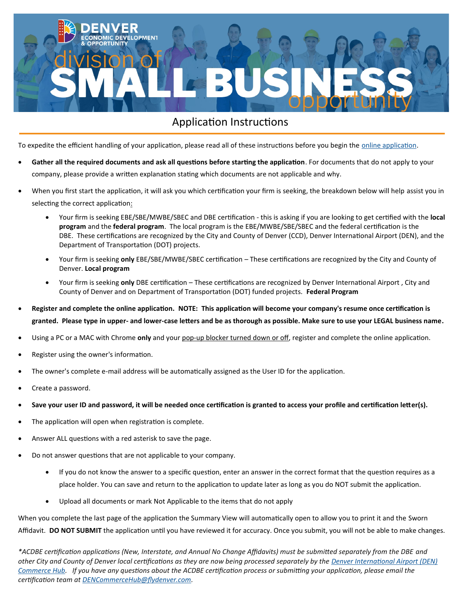

# Application Instructions

To expedite the efficient handling of your application, please read all of these instructions before you begin the *online application*.

- Gather all the required documents and ask all questions before starting the application. For documents that do not apply to your company, please provide a written explanation stating which documents are not applicable and why.
- When you first start the application, it will ask you which certification your firm is seeking, the breakdown below will help assist you in selecting the correct application:
	- Your firm is seeking EBE/SBE/MWBE/SBEC and DBE certification this is asking if you are looking to get certified with the **local program** and the **federal program**. The local program is the EBE/MWBE/SBE/SBEC and the federal certification is the DBE. These certifications are recognized by the City and County of Denver (CCD), Denver International Airport (DEN), and the Department of Transportation (DOT) projects.
	- Your firm is seeking **only** EBE/SBE/MWBE/SBEC certification These certifications are recognized by the City and County of Denver. **Local program**
	- Your firm is seeking **only** DBE certification These certifications are recognized by Denver International Airport , City and County of Denver and on Department of Transportation (DOT) funded projects. **Federal Program**
- **Register and complete the online application. NOTE: This application will become your company's resume once certification is granted. Please type in upper- and lower-case letters and be as thorough as possible. Make sure to use your LEGAL business name.**
- Using a PC or a MAC with Chrome **only** and your pop-up blocker turned down or off, register and complete the online application.
- Register using the owner's information.
- The owner's complete e-mail address will be automatically assigned as the User ID for the application.
- Create a password.
- **Save your user ID and password, it will be needed once certification is granted to access your profile and certification letter(s).**
- The application will open when registration is complete.
- Answer ALL questions with a red asterisk to save the page.
- Do not answer questions that are not applicable to your company.
	- If you do not know the answer to a specific question, enter an answer in the correct format that the question requires as a place holder. You can save and return to the application to update later as long as you do NOT submit the application.
	- Upload all documents or mark Not Applicable to the items that do not apply

When you complete the last page of the application the Summary View will automatically open to allow you to print it and the Sworn Affidavit. **DO NOT SUBMIT** the application until you have reviewed it for accuracy. Once you submit, you will not be able to make changes.

*\*ACDBE certification applications (New, Interstate, and Annual No Change Affidavits) must be submitted separately from the DBE and other City and County of Denver local certifications as they are now being processed separately by the [Denver International Airport \(DEN\)](https://business.flydenver.com/bizops/commercehub.asp)  [Commerce Hub.](https://business.flydenver.com/bizops/commercehub.asp) If you have any questions about the ACDBE certification process or submitting your application, please email the certification team at [DENCommerceHub@flydenver.com.](mailto:DENCommerceHub@flydenver.com)*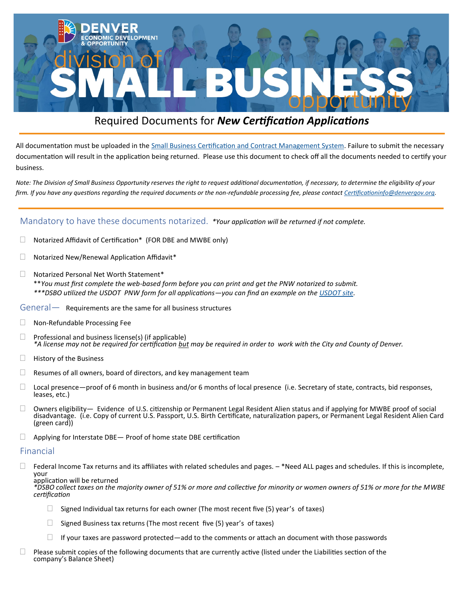

# Required Documents for *New Certification Applications*

All documentation must be uploaded in the [Small Business Certification and Contract Management System.](https://denver.mwdbe.com/?TN=denver) Failure to submit the necessary documentation will result in the application being returned. Please use this document to check off all the documents needed to certify your business.

*Note: The Division of Small Business Opportunity reserves the right to request additional documentation, if necessary, to determine the eligibility of your firm. If you have any questions regarding the required documents or the non-refundable processing fee, please contact [Certificationinfo@denvergov.org.](mailto:Certificationinfo@denvergov.org)* 

### Mandatory to have these documents notarized. *\*Your application will be returned if not complete.*

- $\Box$  Notarized Affidavit of Certification\* (FOR DBE and MWBE only)
- $\Box$  Notarized New/Renewal Application Affidavit\*
- Notarized Personal Net Worth Statement\* \*\**You must first complete the web-based form before you can print and get the PNW notarized to submit. \*\*\*DSBO utilized the USDOT PNW form for all applications—you can find an example on the [USDOT site.](https://www.transportation.gov/sites/dot.gov/files/docs/mission/civil-rights/disadvantaged-business-enterprise/56646/pnw-statement.pdf)*

#### $General$ — Requirements are the same for all business structures

- □ Non-Refundable Processing Fee
- $\Box$  Professional and business license(s) (if applicable) *\*A license may not be required for certification but may be required in order to work with the City and County of Denver.*
- $\Box$  History of the Business
- $\Box$  Resumes of all owners, board of directors, and key management team
- $\Box$  Local presence—proof of 6 month in business and/or 6 months of local presence (i.e. Secretary of state, contracts, bid responses, leases, etc.)
- $\Box$  Owners eligibility— Evidence of U.S. citizenship or Permanent Legal Resident Alien status and if applying for MWBE proof of social disadvantage. (i.e. Copy of current U.S. Passport, U.S. Birth Certificate, naturalization papers, or Permanent Legal Resident Alien Card (green card))
- $\Box$  Applying for Interstate DBE Proof of home state DBE certification

#### Financial

 $\Box$  Federal Income Tax returns and its affiliates with related schedules and pages.  $-$  \*Need ALL pages and schedules. If this is incomplete, your

application will be returned

*\*DSBO collect taxes on the majority owner of 51% or more and collective for minority or women owners of 51% or more for the MWBE certification*

- $\Box$  Signed Individual tax returns for each owner (The most recent five (5) year's of taxes)
- $\Box$  Signed Business tax returns (The most recent five (5) year's of taxes)
- $\Box$  If your taxes are password protected—add to the comments or attach an document with those passwords
- $\Box$  Please submit copies of the following documents that are currently active (listed under the Liabilities section of the company's Balance Sheet)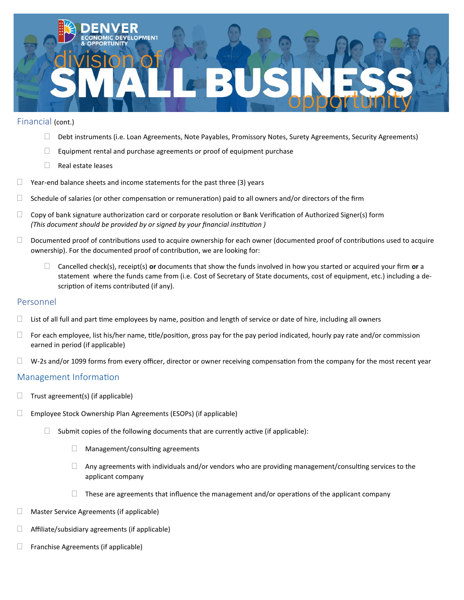

### Financial (cont.)

- Debt instruments (i.e. Loan Agreements, Note Payables, Promissory Notes, Surety Agreements, Security Agreements)
- $\Box$  Equipment rental and purchase agreements or proof of equipment purchase
- $\Box$  Real estate leases
- $\Box$  Year-end balance sheets and income statements for the past three (3) years
- $\Box$  Schedule of salaries (or other compensation or remuneration) paid to all owners and/or directors of the firm
- $\Box$  Copy of bank signature authorization card or corporate resolution or Bank Verification of Authorized Signer(s) form *(This document should be provided by or signed by your financial institution )*
- $\Box$  Documented proof of contributions used to acquire ownership for each owner (documented proof of contributions used to acquire ownership). For the documented proof of contribution, we are looking for:
	- Cancelled check(s), receipt(s) **or** documents that show the funds involved in how you started or acquired your firm **or** a statement where the funds came from (i.e. Cost of Secretary of State documents, cost of equipment, etc.) including a description of items contributed (if any).

## Personnel

- $\Box$  List of all full and part time employees by name, position and length of service or date of hire, including all owners
- $\Box$  For each employee, list his/her name, title/position, gross pay for the pay period indicated, hourly pay rate and/or commission earned in period (if applicable)
- $\Box$  W-2s and/or 1099 forms from every officer, director or owner receiving compensation from the company for the most recent year

## Management Information

- $\Box$  Trust agreement(s) (if applicable)
- $\Box$  Employee Stock Ownership Plan Agreements (ESOPs) (if applicable)
	- $\Box$  Submit copies of the following documents that are currently active (if applicable):
		- $\Box$  Management/consulting agreements
		- $\Box$  Any agreements with individuals and/or vendors who are providing management/consulting services to the applicant company
		- $\Box$  These are agreements that influence the management and/or operations of the applicant company
- Master Service Agreements (if applicable)
- $\Box$  Affiliate/subsidiary agreements (if applicable)
- $\Box$  Franchise Agreements (if applicable)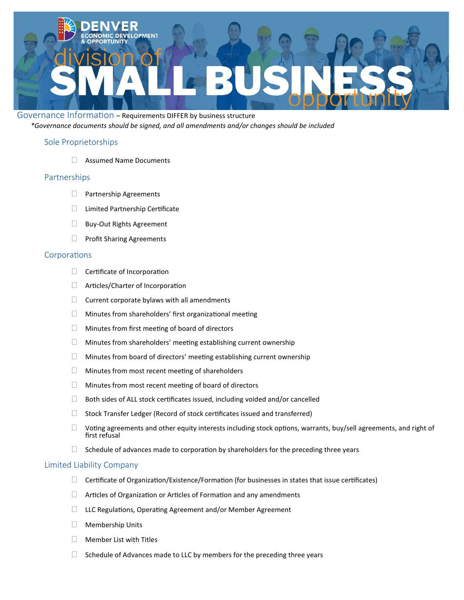

Governance Information – Requirements DIFFER by business structure *\*Governance documents should be signed, and all amendments and/or changes should be included*

# Sole Proprietorships

Assumed Name Documents

### Partnerships

- $\Box$  Partnership Agreements
- □ Limited Partnership Certificate
- **Buy-Out Rights Agreement**
- $\Box$  Profit Sharing Agreements

#### Corporations

- $\Box$  Certificate of Incorporation
- □ Articles/Charter of Incorporation
- $\Box$  Current corporate bylaws with all amendments
- $\Box$  Minutes from shareholders' first organizational meeting
- $\Box$  Minutes from first meeting of board of directors
- $\Box$  Minutes from shareholders' meeting establishing current ownership
- $\Box$  Minutes from board of directors' meeting establishing current ownership
- $\Box$  Minutes from most recent meeting of shareholders
- $\Box$  Minutes from most recent meeting of board of directors
- $\Box$  Both sides of ALL stock certificates issued, including voided and/or cancelled
- $\Box$  Stock Transfer Ledger (Record of stock certificates issued and transferred)
- $\Box$  Voting agreements and other equity interests including stock options, warrants, buy/sell agreements, and right of first refusal
- $\Box$  Schedule of advances made to corporation by shareholders for the preceding three years

#### Limited Liability Company

- $\Box$  Certificate of Organization/Existence/Formation (for businesses in states that issue certificates)
- $\Box$  Articles of Organization or Articles of Formation and any amendments
- $\Box$  LLC Regulations, Operating Agreement and/or Member Agreement
- **Nembership Units**
- $\Box$  Member List with Titles
- $\Box$  Schedule of Advances made to LLC by members for the preceding three years